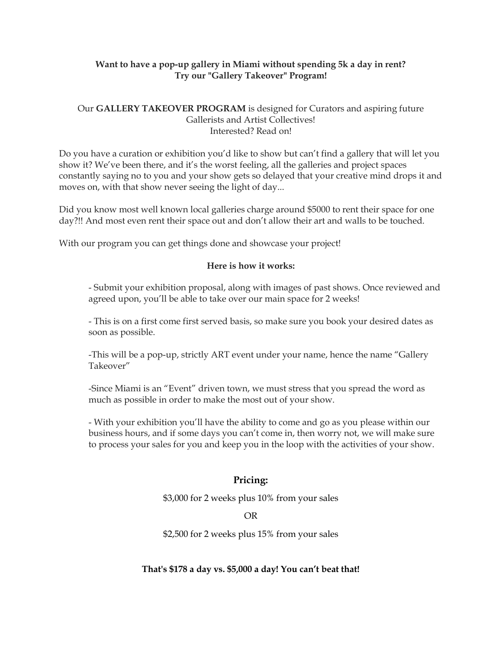## **Want to have a pop-up gallery in Miami without spending 5k a day in rent? Try our "Gallery Takeover" Program!**

## Our **GALLERY TAKEOVER PROGRAM** is designed for Curators and aspiring future Gallerists and Artist Collectives! Interested? Read on!

Do you have a curation or exhibition you'd like to show but can't find a gallery that will let you show it? We've been there, and it's the worst feeling, all the galleries and project spaces constantly saying no to you and your show gets so delayed that your creative mind drops it and moves on, with that show never seeing the light of day...

Did you know most well known local galleries charge around \$5000 to rent their space for one day?!! And most even rent their space out and don't allow their art and walls to be touched.

With our program you can get things done and showcase your project!

## **Here is how it works:**

- Submit your exhibition proposal, along with images of past shows. Once reviewed and agreed upon, you'll be able to take over our main space for 2 weeks!

- This is on a first come first served basis, so make sure you book your desired dates as soon as possible.

-This will be a pop-up, strictly ART event under your name, hence the name "Gallery Takeover"

-Since Miami is an "Event" driven town, we must stress that you spread the word as much as possible in order to make the most out of your show.

- With your exhibition you'll have the ability to come and go as you please within our business hours, and if some days you can't come in, then worry not, we will make sure to process your sales for you and keep you in the loop with the activities of your show.

# **Pricing:**

\$3,000 for 2 weeks plus 10% from your sales

## OR

\$2,500 for 2 weeks plus 15% from your sales

## **That's \$178 a day vs. \$5,000 a day! You can't beat that!**